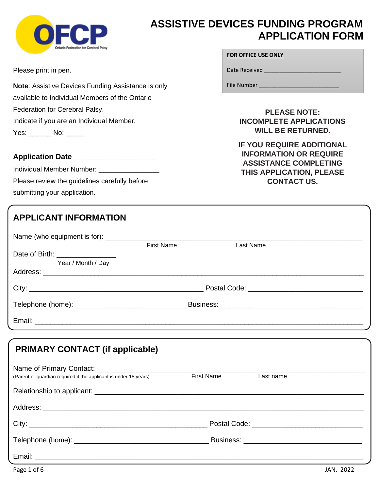

# **ASSISTIVE DEVICES FUNDING PROGRAM APPLICATION FORM**

Please print in pen.

**Note**: Assistive Devices Funding Assistance is only available to Individual Members of the Ontario Federation for Cerebral Palsy. Indicate if you are an Individual Member. Yes: \_\_\_\_\_\_\_ No: \_\_\_\_\_\_

#### **Application Date \_\_\_\_\_\_\_\_\_\_\_\_\_\_\_\_\_\_\_\_**

Individual Member Number: \_\_\_\_\_\_\_\_\_\_\_\_\_ Please review the guidelines carefully before submitting your application.

#### **FOR OFFICE USE ONLY**

Date Received \_\_\_\_\_\_\_\_\_\_\_\_\_\_\_\_\_\_\_\_\_\_\_\_\_

File Number \_\_\_\_\_\_\_\_\_\_\_\_\_\_\_\_\_\_\_\_\_\_\_\_\_\_

**PLEASE NOTE: INCOMPLETE APPLICATIONS WILL BE RETURNED.**

**IF YOU REQUIRE ADDITIONAL INFORMATION OR REQUIRE ASSISTANCE COMPLETING THIS APPLICATION, PLEASE CONTACT US.**

|                                 | <b>First Name</b> | Last Name |  |
|---------------------------------|-------------------|-----------|--|
| Date of Birth: ________________ |                   |           |  |
| Year / Month / Day              |                   |           |  |
|                                 |                   |           |  |
|                                 |                   |           |  |
|                                 |                   |           |  |
|                                 |                   |           |  |
|                                 |                   |           |  |

# **PRIMARY CONTACT (if applicable)**

| (Parent or guardian required if the applicant is under 18 years) | <b>First Name</b> | Last name |  |
|------------------------------------------------------------------|-------------------|-----------|--|
|                                                                  |                   |           |  |
|                                                                  |                   |           |  |
|                                                                  |                   |           |  |
|                                                                  |                   |           |  |
|                                                                  |                   |           |  |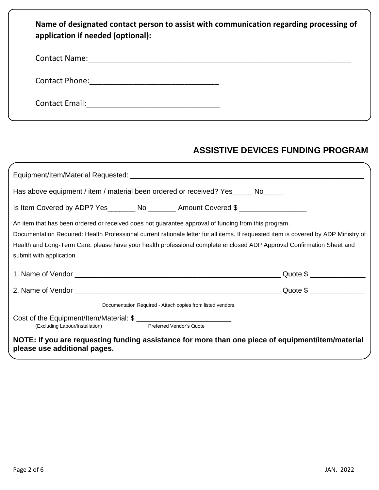| Name of designated contact person to assist with communication regarding processing of<br>application if needed (optional): |
|-----------------------------------------------------------------------------------------------------------------------------|
| Contact Name: <u>___________________________</u>                                                                            |
| Contact Phone: <u>__________________________</u>                                                                            |
| Contact Email:                                                                                                              |

# **ASSISTIVE DEVICES FUNDING PROGRAM**

|                                                                                                         | Has above equipment / item / material been ordered or received? Yes ______ No_____                                                                                                                                                                                                                                                                                  |  |
|---------------------------------------------------------------------------------------------------------|---------------------------------------------------------------------------------------------------------------------------------------------------------------------------------------------------------------------------------------------------------------------------------------------------------------------------------------------------------------------|--|
|                                                                                                         | Is Item Covered by ADP? Yes_________ No ________ Amount Covered \$                                                                                                                                                                                                                                                                                                  |  |
| submit with application.                                                                                | An item that has been ordered or received does not guarantee approval of funding from this program.<br>Documentation Required: Health Professional current rationale letter for all items. If requested item is covered by ADP Ministry of<br>Health and Long-Term Care, please have your health professional complete enclosed ADP Approval Confirmation Sheet and |  |
|                                                                                                         |                                                                                                                                                                                                                                                                                                                                                                     |  |
|                                                                                                         |                                                                                                                                                                                                                                                                                                                                                                     |  |
|                                                                                                         | Documentation Required - Attach copies from listed vendors.                                                                                                                                                                                                                                                                                                         |  |
| Cost of the Equipment/Item/Material: \$<br>(Excluding Labour/Installation) The Preferred Vendor's Quote |                                                                                                                                                                                                                                                                                                                                                                     |  |
| please use additional pages.                                                                            | NOTE: If you are requesting funding assistance for more than one piece of equipment/item/material                                                                                                                                                                                                                                                                   |  |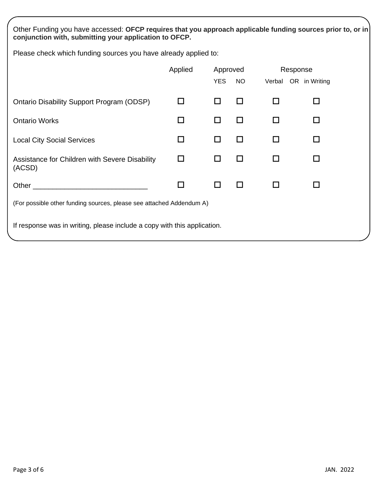Other Funding you have accessed: **OFCP requires that you approach applicable funding sources prior to, or in conjunction with, submitting your application to OFCP.** 

Please check which funding sources you have already applied to:

|                                                                                                                | Applied | Approved   |           | Response             |        |
|----------------------------------------------------------------------------------------------------------------|---------|------------|-----------|----------------------|--------|
|                                                                                                                |         | <b>YES</b> | <b>NO</b> | Verbal OR in Writing |        |
| <b>Ontario Disability Support Program (ODSP)</b>                                                               | П       | $\Box$     | П         |                      | H      |
| <b>Ontario Works</b>                                                                                           | ΙI      | П          | П         | П                    | П      |
| <b>Local City Social Services</b>                                                                              | □       | □          | П         |                      | П      |
| Assistance for Children with Severe Disability<br>(ACSD)                                                       | □       | П          | П         | H                    | П      |
| Other than the contract of the contract of the contract of the contract of the contract of the contract of the | □       | □          | $\Box$    | H                    | $\Box$ |
| (For possible other funding sources, please see attached Addendum A)                                           |         |            |           |                      |        |
| If response was in writing, please include a copy with this application.                                       |         |            |           |                      |        |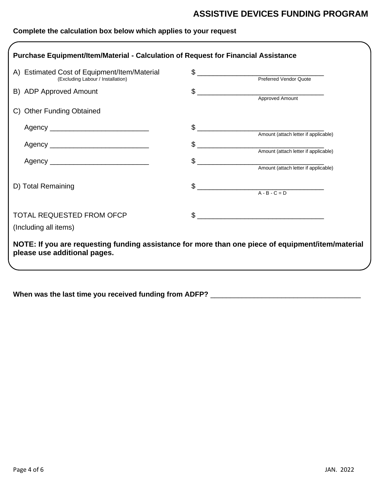# **ASSISTIVE DEVICES FUNDING PROGRAM**

### **Complete the calculation box below which applies to your request**

| A) Estimated Cost of Equipment/Item/Material                                                      | \$                                                      |
|---------------------------------------------------------------------------------------------------|---------------------------------------------------------|
| (Excluding Labour / Installation)                                                                 |                                                         |
| B) ADP Approved Amount                                                                            |                                                         |
|                                                                                                   |                                                         |
| C) Other Funding Obtained                                                                         |                                                         |
| Agency ________________________________                                                           | \$                                                      |
|                                                                                                   |                                                         |
|                                                                                                   | \$                                                      |
|                                                                                                   |                                                         |
|                                                                                                   | \$                                                      |
| D) Total Remaining                                                                                | $\begin{array}{c}\n\text{\AA - B - C = D}\n\end{array}$ |
|                                                                                                   |                                                         |
| TOTAL REQUESTED FROM OFCP                                                                         | $\frac{1}{2}$                                           |
| (Including all items)                                                                             |                                                         |
| NOTE: If you are requesting funding assistance for more than one piece of equipment/item/material |                                                         |
| please use additional pages.                                                                      |                                                         |

**When was the last time you received funding from ADFP?** \_\_\_\_\_\_\_\_\_\_\_\_\_\_\_\_\_\_\_\_\_\_\_\_\_\_\_\_\_\_\_\_\_\_\_\_\_\_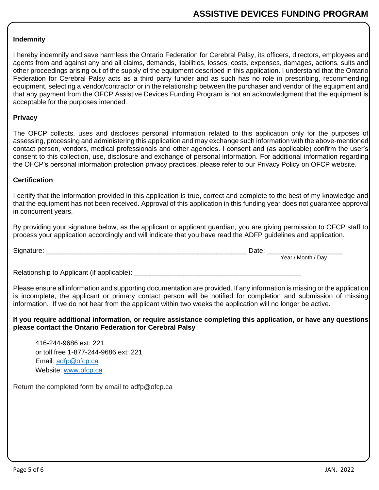#### **Indemnity**

I hereby indemnify and save harmless the Ontario Federation for Cerebral Palsy, its officers, directors, employees and agents from and against any and all claims, demands, liabilities, losses, costs, expenses, damages, actions, suits and other proceedings arising out of the supply of the equipment described in this application. I understand that the Ontario Federation for Cerebral Palsy acts as a third party funder and as such has no role in prescribing, recommending equipment, selecting a vendor/contractor or in the relationship between the purchaser and vendor of the equipment and that any payment from the OFCP Assistive Devices Funding Program is not an acknowledgment that the equipment is acceptable for the purposes intended.

#### **Privacy**

The OFCP collects, uses and discloses personal information related to this application only for the purposes of assessing, processing and administering this application and may exchange such information with the above-mentioned contact person, vendors, medical professionals and other agencies. I consent and (as applicable) confirm the user's consent to this collection, use, disclosure and exchange of personal information. For additional information regarding the OFCP's personal information protection privacy practices, please refer to our Privacy Policy on OFCP website.

#### **Certification**

I certify that the information provided in this application is true, correct and complete to the best of my knowledge and that the equipment has not been received. Approval of this application in this funding year does not guarantee approval in concurrent years.

By providing your signature below, as the applicant or applicant guardian, you are giving permission to OFCP staff to process your application accordingly and will indicate that you have read the ADFP guidelines and application.

| $\mathbf{\hat{}}$<br>Signature. | -<br>Date |                              |
|---------------------------------|-----------|------------------------------|
|                                 |           | ہ Month '<br>Year /<br>' Dav |

Relationship to Applicant (if applicable): \_\_\_\_\_\_\_\_\_\_\_\_\_\_\_\_\_\_\_\_\_\_\_\_\_\_\_\_\_\_\_\_\_\_\_\_\_\_\_\_\_\_\_\_

Please ensure all information and supporting documentation are provided. If any information is missing or the application is incomplete, the applicant or primary contact person will be notified for completion and submission of missing information. If we do not hear from the applicant within two weeks the application will no longer be active.

#### **If you require additional information, or require assistance completing this application, or have any questions please contact the Ontario Federation for Cerebral Palsy**

416-244-9686 ext: 221 or toll free 1-877-244-9686 ext: 221 Email: [adfp@ofcp.ca](mailto:adfp@ofcp.ca) Website: [www.ofcp.ca](http://www.ofcp.ca/)

Return the completed form by email to adfp@ofcp.ca